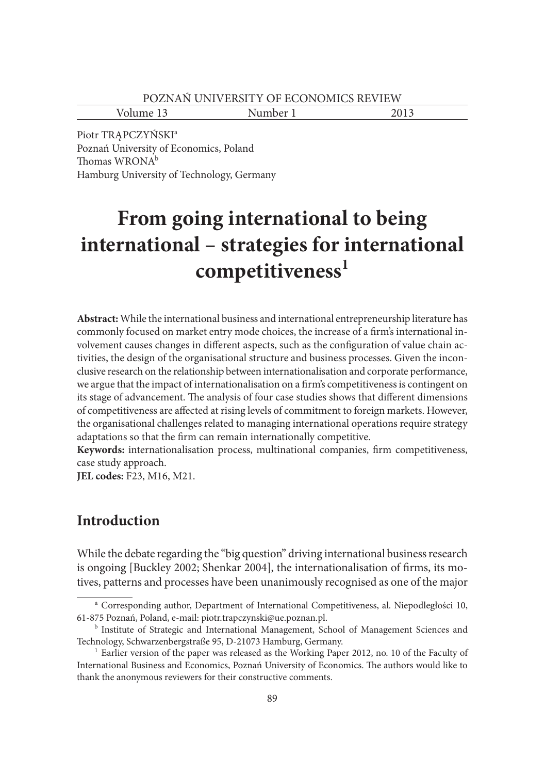Volume 13 Number 1 2013

Piotr TRAPCZYŃSKI<sup>a</sup> Poznań University of Economics, Poland Thomas WRONA<sup>b</sup> Hamburg University of Technology, Germany

# **From going international to being international – strategies for international competitiveness1**

**Abstract:** While the international business and international entrepreneurship literature has commonly focused on market entry mode choices, the increase of a firm's international involvement causes changes in different aspects, such as the configuration of value chain activities, the design of the organisational structure and business processes. Given the inconclusive research on the relationship between internationalisation and corporate performance, we argue that the impact of internationalisation on a firm's competitiveness is contingent on its stage of advancement. The analysis of four case studies shows that different dimensions of competitiveness are affected at rising levels of commitment to foreign markets. However, the organisational challenges related to managing international operations require strategy adaptations so that the firm can remain internationally competitive.

Keywords: internationalisation process, multinational companies, firm competitiveness, case study approach.

**JEL codes:** F23, M16, M21.

## **Introduction**

While the debate regarding the "big question" driving international business research is ongoing [Buckley 2002; Shenkar 2004], the internationalisation of firms, its motives, patterns and processes have been unanimously recognised as one of the major

a Corresponding author, Department of International Competitiveness, al. Niepodległości 10, 61-875 Poznań, Poland, e-mail: piotr.trapczynski@ue.poznan.pl. b Institute of Strategic and International Management, School of Management Sciences and

Technology, Schwarzenbergstraße 95, D-21073 Hamburg, Germany.

<sup>&</sup>lt;sup>1</sup> Earlier version of the paper was released as the Working Paper 2012, no. 10 of the Faculty of International Business and Economics, Poznań University of Economics. The authors would like to thank the anonymous reviewers for their constructive comments.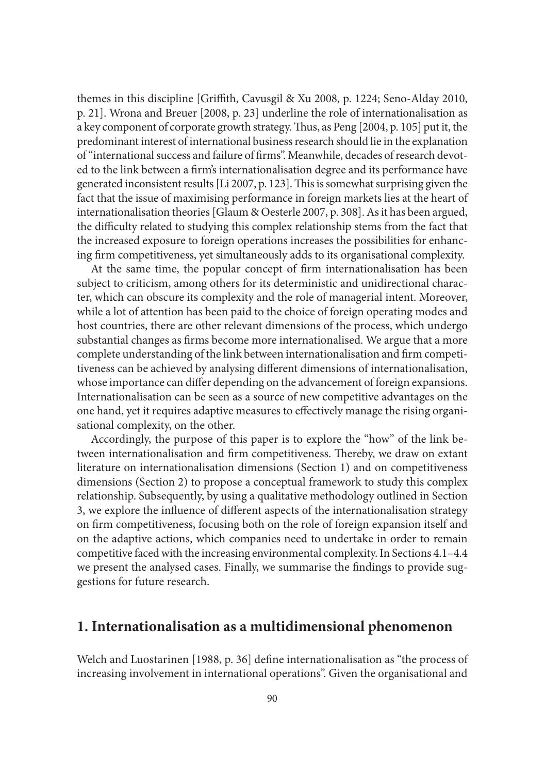themes in this discipline [Griffith, Cavusgil & Xu 2008, p. 1224; Seno-Alday 2010, p. 21]. Wrona and Breuer [2008, p. 23] underline the role of internationalisation as a key component of corporate growth strategy. Thus, as Peng [2004, p. 105] put it, the predominant interest of international business research should lie in the explanation of "international success and failure of firms". Meanwhile, decades of research devoted to the link between a firm's internationalisation degree and its performance have generated inconsistent results [Li 2007, p. 123]. This is somewhat surprising given the fact that the issue of maximising performance in foreign markets lies at the heart of internationalisation theories [Glaum & Oesterle 2007, p. 308]. As it has been argued, the difficulty related to studying this complex relationship stems from the fact that the increased exposure to foreign operations increases the possibilities for enhancing firm competitiveness, yet simultaneously adds to its organisational complexity.

At the same time, the popular concept of firm internationalisation has been subject to criticism, among others for its deterministic and unidirectional character, which can obscure its complexity and the role of managerial intent. Moreover, while a lot of attention has been paid to the choice of foreign operating modes and host countries, there are other relevant dimensions of the process, which undergo substantial changes as firms become more internationalised. We argue that a more complete understanding of the link between internationalisation and firm competitiveness can be achieved by analysing different dimensions of internationalisation, whose importance can differ depending on the advancement of foreign expansions. Internationalisation can be seen as a source of new competitive advantages on the one hand, yet it requires adaptive measures to effectively manage the rising organisational complexity, on the other.

Accordingly, the purpose of this paper is to explore the "how" of the link between internationalisation and firm competitiveness. Thereby, we draw on extant literature on internationalisation dimensions (Section 1) and on competitiveness dimensions (Section 2) to propose a conceptual framework to study this complex relationship. Subsequently, by using a qualitative methodology outlined in Section 3, we explore the influence of different aspects of the internationalisation strategy on firm competitiveness, focusing both on the role of foreign expansion itself and on the adaptive actions, which companies need to undertake in order to remain competitive faced with the increasing environmental complexity. In Sections 4.1–4.4 we present the analysed cases. Finally, we summarise the findings to provide suggestions for future research.

## **1. Internationalisation as a multidimensional phenomenon**

Welch and Luostarinen [1988, p. 36] define internationalisation as "the process of increasing involvement in international operations". Given the organisational and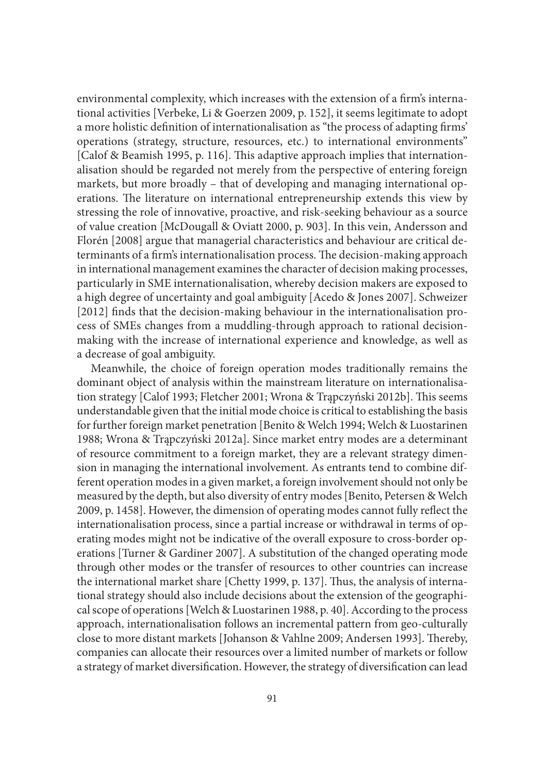environmental complexity, which increases with the extension of a firm's international activities [Verbeke, Li & Goerzen 2009, p. 152], it seems legitimate to adopt a more holistic definition of internationalisation as "the process of adapting firms' operations (strategy, structure, resources, etc.) to international environments" [Calof & Beamish 1995, p. 116]. This adaptive approach implies that internationalisation should be regarded not merely from the perspective of entering foreign markets, but more broadly – that of developing and managing international operations. The literature on international entrepreneurship extends this view by stressing the role of innovative, proactive, and risk-seeking behaviour as a source of value creation [McDougall & Oviatt 2000, p. 903]. In this vein, Andersson and Florén [2008] argue that managerial characteristics and behaviour are critical determinants of a firm's internationalisation process. The decision-making approach in international management examines the character of decision making processes, particularly in SME internationalisation, whereby decision makers are exposed to a high degree of uncertainty and goal ambiguity [Acedo & Jones 2007]. Schweizer [2012] finds that the decision-making behaviour in the internationalisation process of SMEs changes from a muddling-through approach to rational decisionmaking with the increase of international experience and knowledge, as well as a decrease of goal ambiguity.

Meanwhile, the choice of foreign operation modes traditionally remains the dominant object of analysis within the mainstream literature on internationalisation strategy [Calof 1993; Fletcher 2001; Wrona & Trąpczyński 2012b]. This seems understandable given that the initial mode choice is critical to establishing the basis for further foreign market penetration [Benito & Welch 1994; Welch & Luostarinen 1988; Wrona & Trąpczyński 2012a]. Since market entry modes are a determinant of resource commitment to a foreign market, they are a relevant strategy dimension in managing the international involvement. As entrants tend to combine different operation modes in a given market, a foreign involvement should not only be measured by the depth, but also diversity of entry modes [Benito, Petersen & Welch 2009, p. 1458]. However, the dimension of operating modes cannot fully reflect the internationalisation process, since a partial increase or withdrawal in terms of operating modes might not be indicative of the overall exposure to cross-border operations [Turner & Gardiner 2007]. A substitution of the changed operating mode through other modes or the transfer of resources to other countries can increase the international market share [Chetty 1999, p. 137]. Thus, the analysis of international strategy should also include decisions about the extension of the geographical scope of operations [Welch & Luostarinen 1988, p. 40]. According to the process approach, internationalisation follows an incremental pattern from geo-culturally close to more distant markets [Johanson & Vahlne 2009; Andersen 1993]. Thereby, companies can allocate their resources over a limited number of markets or follow a strategy of market diversification. However, the strategy of diversification can lead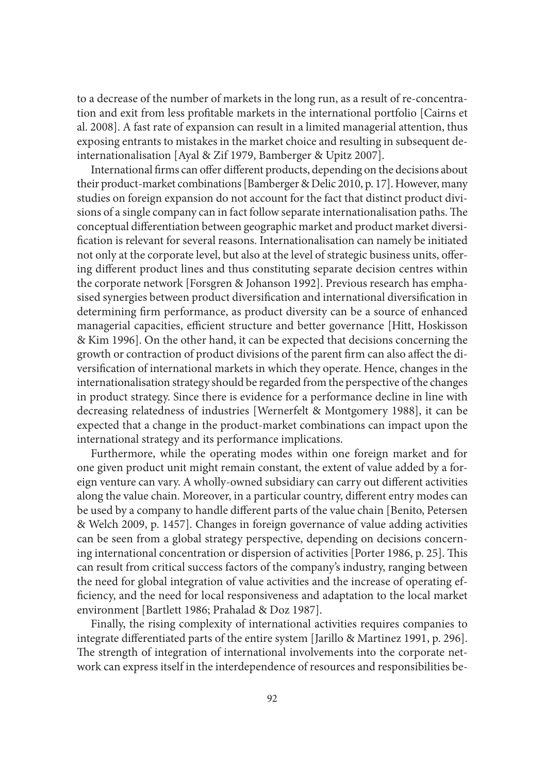to a decrease of the number of markets in the long run, as a result of re-concentration and exit from less profitable markets in the international portfolio [Cairns et al. 2008]. A fast rate of expansion can result in a limited managerial attention, thus exposing entrants to mistakes in the market choice and resulting in subsequent deinternationalisation [Ayal & Zif 1979, Bamberger & Upitz 2007].

International firms can offer different products, depending on the decisions about their product-market combinations [Bamberger & Delic 2010, p. 17]. However, many studies on foreign expansion do not account for the fact that distinct product divisions of a single company can in fact follow separate internationalisation paths. The conceptual differentiation between geographic market and product market diversification is relevant for several reasons. Internationalisation can namely be initiated not only at the corporate level, but also at the level of strategic business units, offering different product lines and thus constituting separate decision centres within the corporate network [Forsgren & Johanson 1992]. Previous research has emphasised synergies between product diversification and international diversification in determining firm performance, as product diversity can be a source of enhanced managerial capacities, efficient structure and better governance [Hitt, Hoskisson] & Kim 1996]. On the other hand, it can be expected that decisions concerning the growth or contraction of product divisions of the parent firm can also affect the diversification of international markets in which they operate. Hence, changes in the internationalisation strategy should be regarded from the perspective of the changes in product strategy. Since there is evidence for a performance decline in line with decreasing relatedness of industries [Wernerfelt & Montgomery 1988], it can be expected that a change in the product-market combinations can impact upon the international strategy and its performance implications.

Furthermore, while the operating modes within one foreign market and for one given product unit might remain constant, the extent of value added by a foreign venture can vary. A wholly-owned subsidiary can carry out different activities along the value chain. Moreover, in a particular country, different entry modes can be used by a company to handle different parts of the value chain [Benito, Petersen & Welch 2009, p. 1457]. Changes in foreign governance of value adding activities can be seen from a global strategy perspective, depending on decisions concerning international concentration or dispersion of activities [Porter 1986, p. 25]. This can result from critical success factors of the company's industry, ranging between the need for global integration of value activities and the increase of operating efficiency, and the need for local responsiveness and adaptation to the local market environment [Bartlett 1986; Prahalad & Doz 1987].

Finally, the rising complexity of international activities requires companies to integrate differentiated parts of the entire system [Jarillo & Martinez 1991, p. 296]. The strength of integration of international involvements into the corporate network can express itself in the interdependence of resources and responsibilities be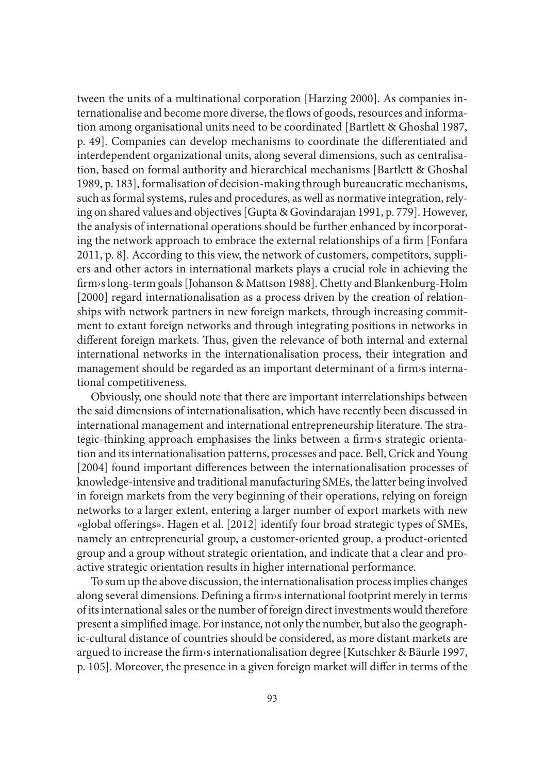tween the units of a multinational corporation [Harzing 2000]. As companies internationalise and become more diverse, the flows of goods, resources and information among organisational units need to be coordinated [Bartlett & Ghoshal 1987, p. 49]. Companies can develop mechanisms to coordinate the differentiated and interdependent organizational units, along several dimensions, such as centralisation, based on formal authority and hierarchical mechanisms [Bartlett & Ghoshal 1989, p. 183], formalisation of decision-making through bureaucratic mechanisms, such as formal systems, rules and procedures, as well as normative integration, relying on shared values and objectives [Gupta & Govindarajan 1991, p. 779]. However, the analysis of international operations should be further enhanced by incorporating the network approach to embrace the external relationships of a firm [Fonfara] 2011, p. 8]. According to this view, the network of customers, competitors, suppliers and other actors in international markets plays a crucial role in achieving the firm>s long-term goals [Johanson & Mattson 1988]. Chetty and Blankenburg-Holm [2000] regard internationalisation as a process driven by the creation of relationships with network partners in new foreign markets, through increasing commitment to extant foreign networks and through integrating positions in networks in different foreign markets. Thus, given the relevance of both internal and external international networks in the internationalisation process, their integration and management should be regarded as an important determinant of a firm is international competitiveness.

Obviously, one should note that there are important interrelationships between the said dimensions of internationalisation, which have recently been discussed in international management and international entrepreneurship literature. The strategic-thinking approach emphasises the links between a firm>s strategic orientation and its internationalisation patterns, processes and pace. Bell, Crick and Young [2004] found important differences between the internationalisation processes of knowledge-intensive and traditional manufacturing SMEs, the latter being involved in foreign markets from the very beginning of their operations, relying on foreign networks to a larger extent, entering a larger number of export markets with new «global offerings». Hagen et al. [2012] identify four broad strategic types of SMEs, namely an entrepreneurial group, a customer-oriented group, a product-oriented group and a group without strategic orientation, and indicate that a clear and proactive strategic orientation results in higher international performance.

To sum up the above discussion, the internationalisation process implies changes along several dimensions. Defining a firm is international footprint merely in terms of its international sales or the number of foreign direct investments would therefore present a simplified image. For instance, not only the number, but also the geographic-cultural distance of countries should be considered, as more distant markets are argued to increase the firm>s internationalisation degree [Kutschker & Bäurle 1997, p. 105]. Moreover, the presence in a given foreign market will differ in terms of the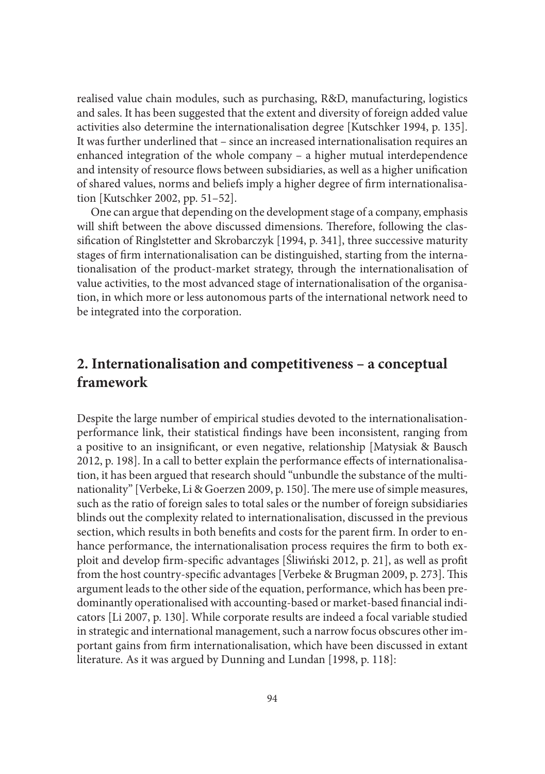realised value chain modules, such as purchasing, R&D, manufacturing, logistics and sales. It has been suggested that the extent and diversity of foreign added value activities also determine the internationalisation degree [Kutschker 1994, p. 135]. It was further underlined that – since an increased internationalisation requires an enhanced integration of the whole company – a higher mutual interdependence and intensity of resource flows between subsidiaries, as well as a higher unification of shared values, norms and beliefs imply a higher degree of firm internationalisation [Kutschker 2002, pp. 51–52].

One can argue that depending on the development stage of a company, emphasis will shift between the above discussed dimensions. Therefore, following the classification of Ringlstetter and Skrobarczyk [1994, p. 341], three successive maturity stages of firm internationalisation can be distinguished, starting from the internationalisation of the product-market strategy, through the internationalisation of value activities, to the most advanced stage of internationalisation of the organisation, in which more or less autonomous parts of the international network need to be integrated into the corporation.

## **2. Internationalisation and competitiveness – a conceptual framework**

Despite the large number of empirical studies devoted to the internationalisationperformance link, their statistical findings have been inconsistent, ranging from a positive to an insignificant, or even negative, relationship [Matysiak & Bausch 2012, p. 198]. In a call to better explain the performance effects of internationalisation, it has been argued that research should "unbundle the substance of the multinationality" [Verbeke, Li & Goerzen 2009, p. 150]. The mere use of simple measures, such as the ratio of foreign sales to total sales or the number of foreign subsidiaries blinds out the complexity related to internationalisation, discussed in the previous section, which results in both benefits and costs for the parent firm. In order to enhance performance, the internationalisation process requires the firm to both exploit and develop firm-specific advantages [Śliwiński 2012, p. 21], as well as profit from the host country-specific advantages [Verbeke & Brugman 2009, p. 273]. This argument leads to the other side of the equation, performance, which has been predominantly operationalised with accounting-based or market-based financial indicators [Li 2007, p. 130]. While corporate results are indeed a focal variable studied in strategic and international management, such a narrow focus obscures other important gains from firm internationalisation, which have been discussed in extant literature. As it was argued by Dunning and Lundan [1998, p. 118]: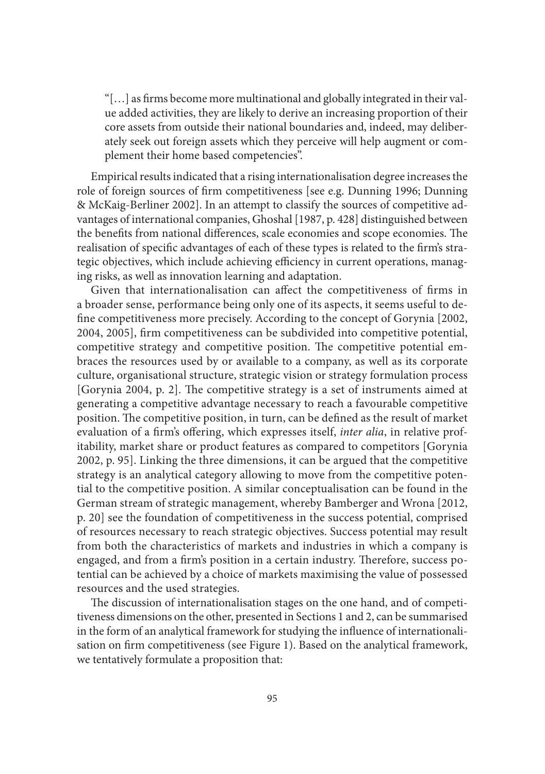" $[...]$  as firms become more multinational and globally integrated in their value added activities, they are likely to derive an increasing proportion of their core assets from outside their national boundaries and, indeed, may deliberately seek out foreign assets which they perceive will help augment or complement their home based competencies".

Empirical results indicated that a rising internationalisation degree increases the role of foreign sources of firm competitiveness [see e.g. Dunning 1996; Dunning & McKaig-Berliner 2002]. In an attempt to classify the sources of competitive advantages of international companies, Ghoshal [1987, p. 428] distinguished between the benefits from national differences, scale economies and scope economies. The realisation of specific advantages of each of these types is related to the firm's strategic objectives, which include achieving efficiency in current operations, managing risks, as well as innovation learning and adaptation.

Given that internationalisation can affect the competitiveness of firms in a broader sense, performance being only one of its aspects, it seems useful to define competitiveness more precisely. According to the concept of Gorynia [2002, 2004, 2005], firm competitiveness can be subdivided into competitive potential, competitive strategy and competitive position. The competitive potential embraces the resources used by or available to a company, as well as its corporate culture, organisational structure, strategic vision or strategy formulation process [Gorynia 2004, p. 2]. The competitive strategy is a set of instruments aimed at generating a competitive advantage necessary to reach a favourable competitive position. The competitive position, in turn, can be defined as the result of market evaluation of a firm's offering, which expresses itself, *inter alia*, in relative profitability, market share or product features as compared to competitors [Gorynia 2002, p. 95]. Linking the three dimensions, it can be argued that the competitive strategy is an analytical category allowing to move from the competitive potential to the competitive position. A similar conceptualisation can be found in the German stream of strategic management, whereby Bamberger and Wrona [2012, p. 20] see the foundation of competitiveness in the success potential, comprised of resources necessary to reach strategic objectives. Success potential may result from both the characteristics of markets and industries in which a company is engaged, and from a firm's position in a certain industry. Therefore, success potential can be achieved by a choice of markets maximising the value of possessed resources and the used strategies.

The discussion of internationalisation stages on the one hand, and of competitiveness dimensions on the other, presented in Sections 1 and 2, can be summarised in the form of an analytical framework for studying the influence of internationalisation on firm competitiveness (see Figure 1). Based on the analytical framework, we tentatively formulate a proposition that: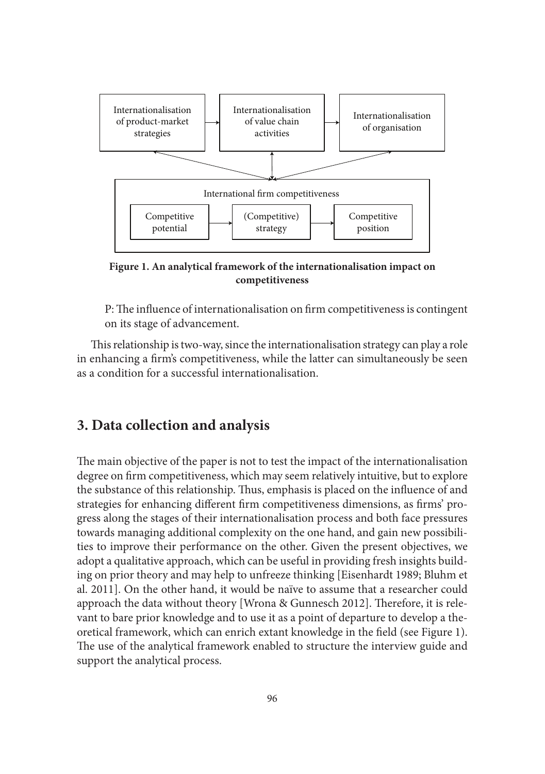

**Figure 1. An analytical framework of the internationalisation impact on competitiveness**

P: The influence of internationalisation on firm competitiveness is contingent on its stage of advancement.

This relationship is two-way, since the internationalisation strategy can play a role in enhancing a firm's competitiveness, while the latter can simultaneously be seen as a condition for a successful internationalisation.

## **3. Data collection and analysis**

The main objective of the paper is not to test the impact of the internationalisation degree on firm competitiveness, which may seem relatively intuitive, but to explore the substance of this relationship. Thus, emphasis is placed on the influence of and strategies for enhancing different firm competitiveness dimensions, as firms' progress along the stages of their internationalisation process and both face pressures towards managing additional complexity on the one hand, and gain new possibilities to improve their performance on the other. Given the present objectives, we adopt a qualitative approach, which can be useful in providing fresh insights building on prior theory and may help to unfreeze thinking [Eisenhardt 1989; Bluhm et al. 2011]. On the other hand, it would be naïve to assume that a researcher could approach the data without theory [Wrona & Gunnesch 2012]. Therefore, it is relevant to bare prior knowledge and to use it as a point of departure to develop a theoretical framework, which can enrich extant knowledge in the field (see Figure 1). The use of the analytical framework enabled to structure the interview guide and support the analytical process.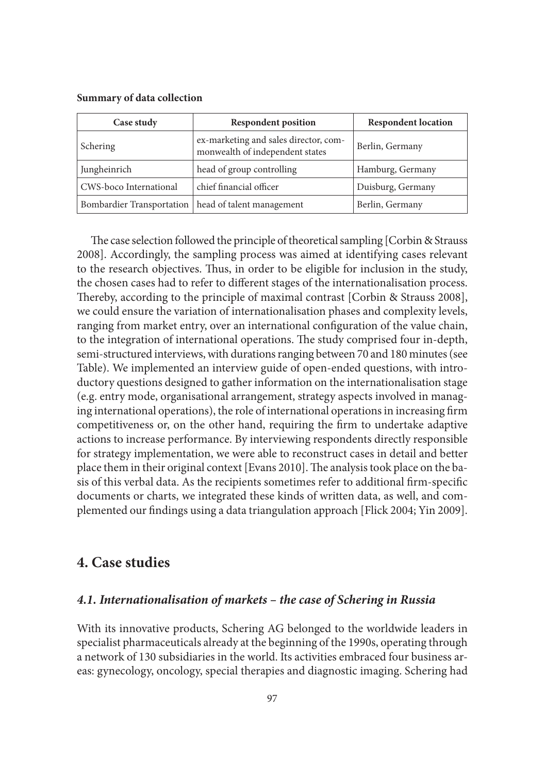#### **Summary of data collection**

| Case study             | <b>Respondent position</b>                                               | <b>Respondent location</b> |
|------------------------|--------------------------------------------------------------------------|----------------------------|
| Schering               | ex-marketing and sales director, com-<br>monwealth of independent states | Berlin, Germany            |
| Jungheinrich           | head of group controlling                                                | Hamburg, Germany           |
| CWS-boco International | chief financial officer                                                  | Duisburg, Germany          |
|                        | Bombardier Transportation   head of talent management                    | Berlin, Germany            |

The case selection followed the principle of theoretical sampling [Corbin & Strauss] 2008]. Accordingly, the sampling process was aimed at identifying cases relevant to the research objectives. Thus, in order to be eligible for inclusion in the study, the chosen cases had to refer to different stages of the internationalisation process. Thereby, according to the principle of maximal contrast [Corbin & Strauss 2008], we could ensure the variation of internationalisation phases and complexity levels, ranging from market entry, over an international configuration of the value chain, to the integration of international operations. The study comprised four in-depth, semi-structured interviews, with durations ranging between 70 and 180 minutes (see Table). We implemented an interview guide of open-ended questions, with introductory questions designed to gather information on the internationalisation stage (e.g. entry mode, organisational arrangement, strategy aspects involved in managing international operations), the role of international operations in increasing firm competitiveness or, on the other hand, requiring the firm to undertake adaptive actions to increase performance. By interviewing respondents directly responsible for strategy implementation, we were able to reconstruct cases in detail and better place them in their original context [Evans 2010]. The analysis took place on the basis of this verbal data. As the recipients sometimes refer to additional firm-specific documents or charts, we integrated these kinds of written data, as well, and complemented our findings using a data triangulation approach [Flick 2004; Yin 2009].

## **4. Case studies**

#### *4.1. Internationalisation of markets – the case of Schering in Russia*

With its innovative products, Schering AG belonged to the worldwide leaders in specialist pharmaceuticals already at the beginning of the 1990s, operating through a network of 130 subsidiaries in the world. Its activities embraced four business areas: gynecology, oncology, special therapies and diagnostic imaging. Schering had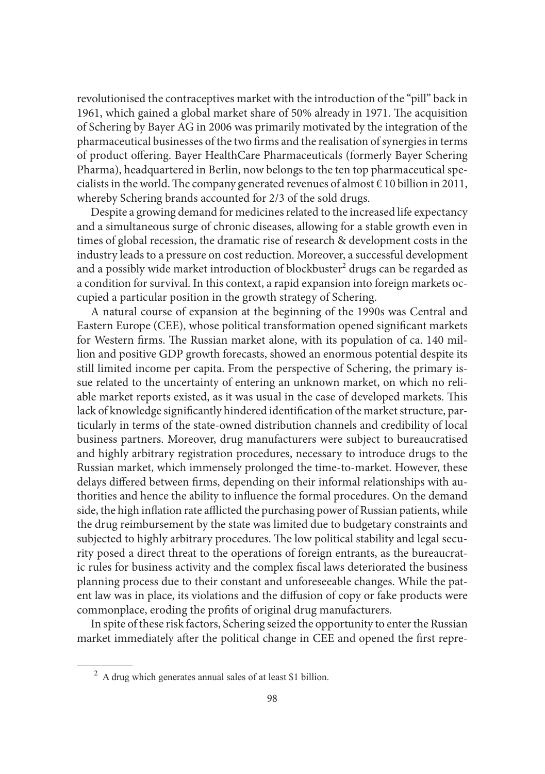revolutionised the contraceptives market with the introduction of the "pill" back in 1961, which gained a global market share of 50% already in 1971. The acquisition of Schering by Bayer AG in 2006 was primarily motivated by the integration of the pharmaceutical businesses of the two firms and the realisation of synergies in terms of product offering. Bayer HealthCare Pharmaceuticals (formerly Bayer Schering Pharma), headquartered in Berlin, now belongs to the ten top pharmaceutical specialists in the world. The company generated revenues of almost  $\epsilon$  10 billion in 2011, whereby Schering brands accounted for 2/3 of the sold drugs.

Despite a growing demand for medicines related to the increased life expectancy and a simultaneous surge of chronic diseases, allowing for a stable growth even in times of global recession, the dramatic rise of research & development costs in the industry leads to a pressure on cost reduction. Moreover, a successful development and a possibly wide market introduction of blockbuster<sup>2</sup> drugs can be regarded as a condition for survival. In this context, a rapid expansion into foreign markets occupied a particular position in the growth strategy of Schering.

A natural course of expansion at the beginning of the 1990s was Central and Eastern Europe (CEE), whose political transformation opened significant markets for Western firms. The Russian market alone, with its population of ca. 140 million and positive GDP growth forecasts, showed an enormous potential despite its still limited income per capita. From the perspective of Schering, the primary issue related to the uncertainty of entering an unknown market, on which no reliable market reports existed, as it was usual in the case of developed markets. This lack of knowledge significantly hindered identification of the market structure, particularly in terms of the state-owned distribution channels and credibility of local business partners. Moreover, drug manufacturers were subject to bureaucratised and highly arbitrary registration procedures, necessary to introduce drugs to the Russian market, which immensely prolonged the time-to-market. However, these delays differed between firms, depending on their informal relationships with authorities and hence the ability to influence the formal procedures. On the demand side, the high inflation rate afflicted the purchasing power of Russian patients, while the drug reimbursement by the state was limited due to budgetary constraints and subjected to highly arbitrary procedures. The low political stability and legal security posed a direct threat to the operations of foreign entrants, as the bureaucratic rules for business activity and the complex fiscal laws deteriorated the business planning process due to their constant and unforeseeable changes. While the patent law was in place, its violations and the diffusion of copy or fake products were commonplace, eroding the profits of original drug manufacturers.

In spite of these risk factors, Schering seized the opportunity to enter the Russian market immediately after the political change in CEE and opened the first repre-

 $2$  A drug which generates annual sales of at least \$1 billion.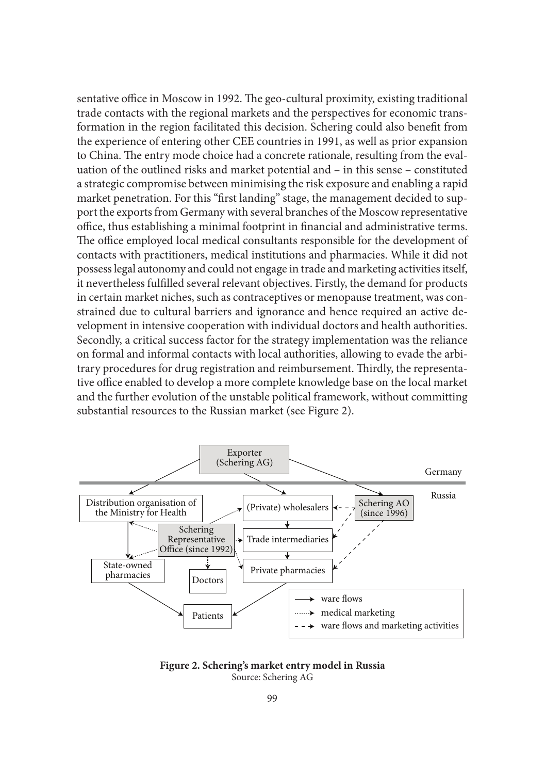sentative office in Moscow in 1992. The geo-cultural proximity, existing traditional trade contacts with the regional markets and the perspectives for economic transformation in the region facilitated this decision. Schering could also benefit from the experience of entering other CEE countries in 1991, as well as prior expansion to China. The entry mode choice had a concrete rationale, resulting from the evaluation of the outlined risks and market potential and – in this sense – constituted a strategic compromise between minimising the risk exposure and enabling a rapid market penetration. For this "first landing" stage, the management decided to support the exports from Germany with several branches of the Moscow representative office, thus establishing a minimal footprint in financial and administrative terms. The office employed local medical consultants responsible for the development of contacts with practitioners, medical institutions and pharmacies. While it did not possess legal autonomy and could not engage in trade and marketing activities itself, it nevertheless fulfilled several relevant objectives. Firstly, the demand for products in certain market niches, such as contraceptives or menopause treatment, was constrained due to cultural barriers and ignorance and hence required an active development in intensive cooperation with individual doctors and health authorities. Secondly, a critical success factor for the strategy implementation was the reliance on formal and informal contacts with local authorities, allowing to evade the arbitrary procedures for drug registration and reimbursement. Thirdly, the representative office enabled to develop a more complete knowledge base on the local market and the further evolution of the unstable political framework, without committing substantial resources to the Russian market (see Figure 2).



**Figure 2. Schering's market entry model in Russia** Source: Schering AG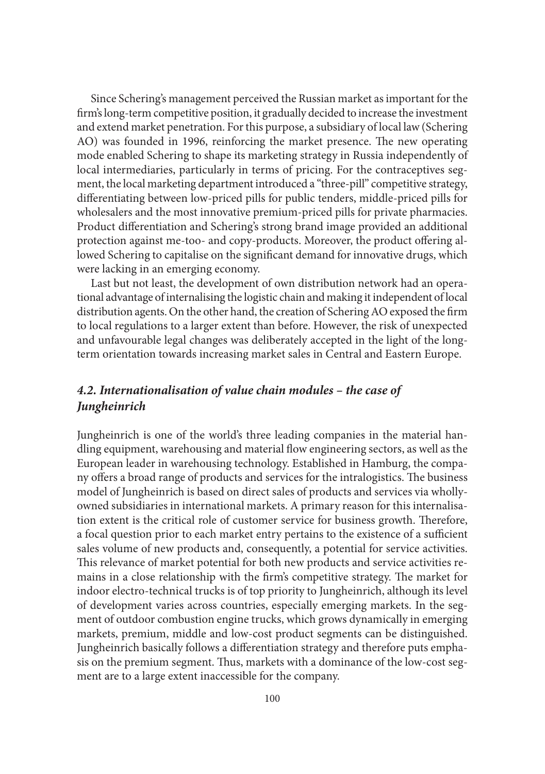Since Schering's management perceived the Russian market as important for the firm's long-term competitive position, it gradually decided to increase the investment and extend market penetration. For this purpose, a subsidiary of local law (Schering AO) was founded in 1996, reinforcing the market presence. The new operating mode enabled Schering to shape its marketing strategy in Russia independently of local intermediaries, particularly in terms of pricing. For the contraceptives segment, the local marketing department introduced a "three-pill" competitive strategy, differentiating between low-priced pills for public tenders, middle-priced pills for wholesalers and the most innovative premium-priced pills for private pharmacies. Product differentiation and Schering's strong brand image provided an additional protection against me-too- and copy-products. Moreover, the product offering allowed Schering to capitalise on the significant demand for innovative drugs, which were lacking in an emerging economy.

Last but not least, the development of own distribution network had an operational advantage of internalising the logistic chain and making it independent of local distribution agents. On the other hand, the creation of Schering AO exposed the firm to local regulations to a larger extent than before. However, the risk of unexpected and unfavourable legal changes was deliberately accepted in the light of the longterm orientation towards increasing market sales in Central and Eastern Europe.

## *4.2. Internationalisation of value chain modules – the case of Jungheinrich*

Jungheinrich is one of the world's three leading companies in the material handling equipment, warehousing and material flow engineering sectors, as well as the European leader in warehousing technology. Established in Hamburg, the company offers a broad range of products and services for the intralogistics. The business model of Jungheinrich is based on direct sales of products and services via whollyowned subsidiaries in international markets. A primary reason for this internalisation extent is the critical role of customer service for business growth. Therefore, a focal question prior to each market entry pertains to the existence of a sufficient sales volume of new products and, consequently, a potential for service activities. This relevance of market potential for both new products and service activities remains in a close relationship with the firm's competitive strategy. The market for indoor electro-technical trucks is of top priority to Jungheinrich, although its level of development varies across countries, especially emerging markets. In the segment of outdoor combustion engine trucks, which grows dynamically in emerging markets, premium, middle and low-cost product segments can be distinguished. Jungheinrich basically follows a differentiation strategy and therefore puts emphasis on the premium segment. Thus, markets with a dominance of the low-cost segment are to a large extent inaccessible for the company.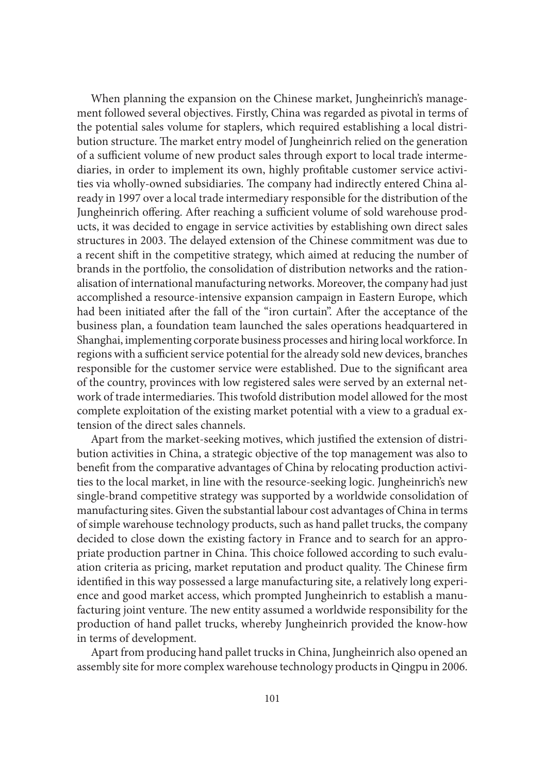When planning the expansion on the Chinese market, Jungheinrich's management followed several objectives. Firstly, China was regarded as pivotal in terms of the potential sales volume for staplers, which required establishing a local distribution structure. The market entry model of Jungheinrich relied on the generation of a sufficient volume of new product sales through export to local trade intermediaries, in order to implement its own, highly profitable customer service activities via wholly-owned subsidiaries. The company had indirectly entered China already in 1997 over a local trade intermediary responsible for the distribution of the Jungheinrich offering. After reaching a sufficient volume of sold warehouse products, it was decided to engage in service activities by establishing own direct sales structures in 2003. The delayed extension of the Chinese commitment was due to a recent shift in the competitive strategy, which aimed at reducing the number of brands in the portfolio, the consolidation of distribution networks and the rationalisation of international manufacturing networks. Moreover, the company had just accomplished a resource-intensive expansion campaign in Eastern Europe, which had been initiated after the fall of the "iron curtain". After the acceptance of the business plan, a foundation team launched the sales operations headquartered in Shanghai, implementing corporate business processes and hiring local workforce. In regions with a sufficient service potential for the already sold new devices, branches responsible for the customer service were established. Due to the significant area of the country, provinces with low registered sales were served by an external network of trade intermediaries. This twofold distribution model allowed for the most complete exploitation of the existing market potential with a view to a gradual extension of the direct sales channels.

Apart from the market-seeking motives, which justified the extension of distribution activities in China, a strategic objective of the top management was also to benefit from the comparative advantages of China by relocating production activities to the local market, in line with the resource-seeking logic. Jungheinrich's new single-brand competitive strategy was supported by a worldwide consolidation of manufacturing sites. Given the substantial labour cost advantages of China in terms of simple warehouse technology products, such as hand pallet trucks, the company decided to close down the existing factory in France and to search for an appropriate production partner in China. This choice followed according to such evaluation criteria as pricing, market reputation and product quality. The Chinese firm identified in this way possessed a large manufacturing site, a relatively long experience and good market access, which prompted Jungheinrich to establish a manufacturing joint venture. The new entity assumed a worldwide responsibility for the production of hand pallet trucks, whereby Jungheinrich provided the know-how in terms of development.

Apart from producing hand pallet trucks in China, Jungheinrich also opened an assembly site for more complex warehouse technology products in Qingpu in 2006.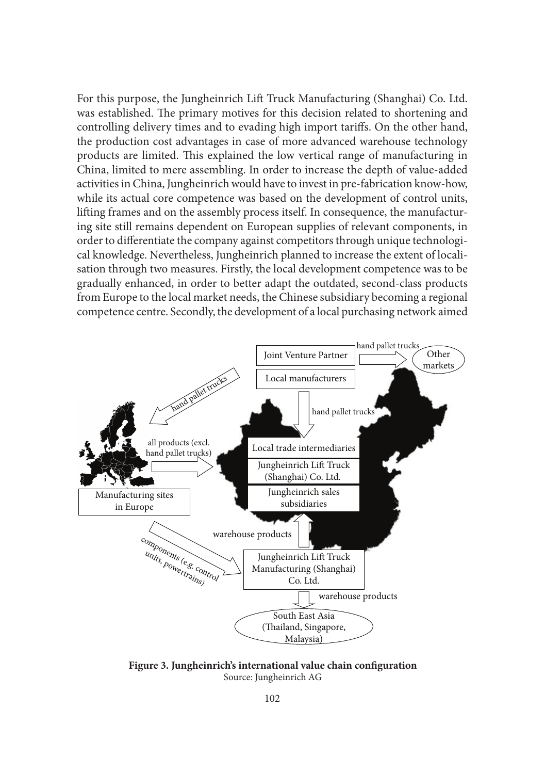For this purpose, the Jungheinrich Lift Truck Manufacturing (Shanghai) Co. Ltd. was established. The primary motives for this decision related to shortening and controlling delivery times and to evading high import tariffs. On the other hand, the production cost advantages in case of more advanced warehouse technology products are limited. This explained the low vertical range of manufacturing in China, limited to mere assembling. In order to increase the depth of value-added activities in China, Jungheinrich would have to invest in pre-fabrication know-how, while its actual core competence was based on the development of control units, lifting frames and on the assembly process itself. In consequence, the manufacturing site still remains dependent on European supplies of relevant components, in order to differentiate the company against competitors through unique technological knowledge. Nevertheless, Jungheinrich planned to increase the extent of localisation through two measures. Firstly, the local development competence was to be gradually enhanced, in order to better adapt the outdated, second-class products from Europe to the local market needs, the Chinese subsidiary becoming a regional competence centre. Secondly, the development of a local purchasing network aimed



Figure 3. Jungheinrich's international value chain configuration Source: Jungheinrich AG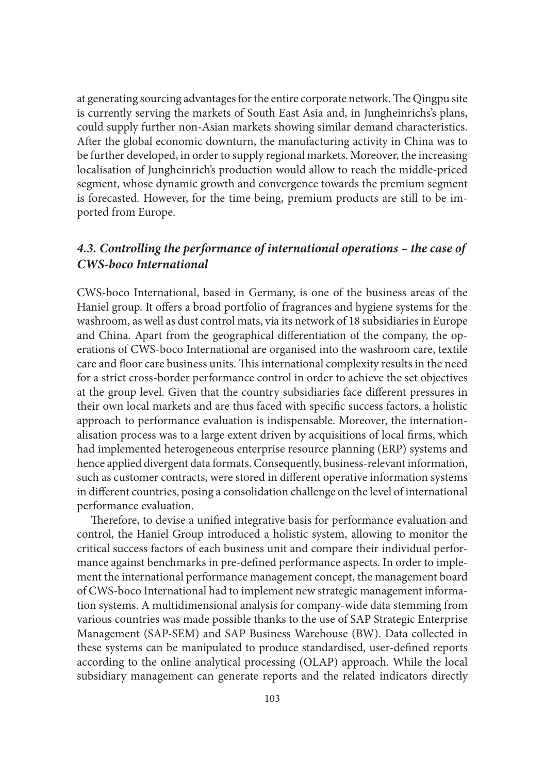at generating sourcing advantages for the entire corporate network. The Qingpu site is currently serving the markets of South East Asia and, in Jungheinrichs's plans, could supply further non-Asian markets showing similar demand characteristics. After the global economic downturn, the manufacturing activity in China was to be further developed, in order to supply regional markets. Moreover, the increasing localisation of Jungheinrich's production would allow to reach the middle-priced segment, whose dynamic growth and convergence towards the premium segment is forecasted. However, for the time being, premium products are still to be imported from Europe.

## *4.3. Controlling the performance of international operations – the case of CWS-boco International*

CWS-boco International, based in Germany, is one of the business areas of the Haniel group. It offers a broad portfolio of fragrances and hygiene systems for the washroom, as well as dust control mats, via its network of 18 subsidiaries in Europe and China. Apart from the geographical differentiation of the company, the operations of CWS-boco International are organised into the washroom care, textile care and floor care business units. This international complexity results in the need for a strict cross-border performance control in order to achieve the set objectives at the group level. Given that the country subsidiaries face different pressures in their own local markets and are thus faced with specific success factors, a holistic approach to performance evaluation is indispensable. Moreover, the internationalisation process was to a large extent driven by acquisitions of local firms, which had implemented heterogeneous enterprise resource planning (ERP) systems and hence applied divergent data formats. Consequently, business-relevant information, such as customer contracts, were stored in different operative information systems in different countries, posing a consolidation challenge on the level of international performance evaluation.

Therefore, to devise a unified integrative basis for performance evaluation and control, the Haniel Group introduced a holistic system, allowing to monitor the critical success factors of each business unit and compare their individual performance against benchmarks in pre-defined performance aspects. In order to implement the international performance management concept, the management board of CWS-boco International had to implement new strategic management information systems. A multidimensional analysis for company-wide data stemming from various countries was made possible thanks to the use of SAP Strategic Enterprise Management (SAP-SEM) and SAP Business Warehouse (BW). Data collected in these systems can be manipulated to produce standardised, user-defined reports according to the online analytical processing (OLAP) approach. While the local subsidiary management can generate reports and the related indicators directly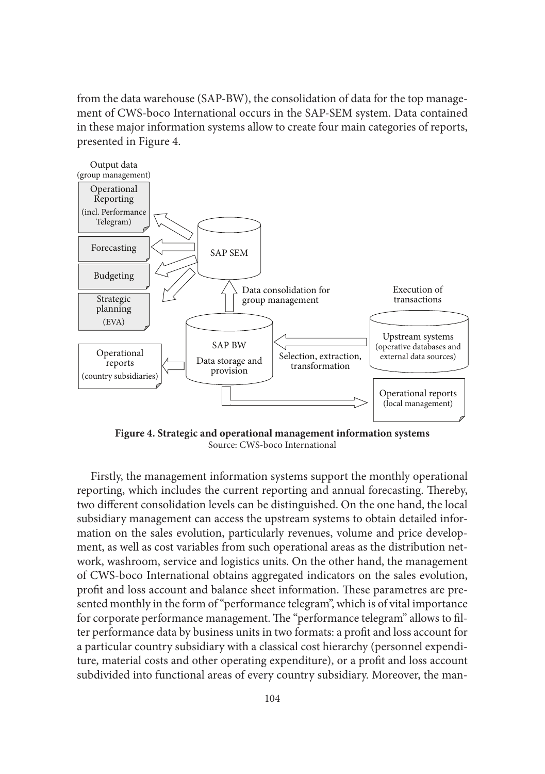from the data warehouse (SAP-BW), the consolidation of data for the top management of CWS-boco International occurs in the SAP-SEM system. Data contained in these major information systems allow to create four main categories of reports, presented in Figure 4.



**Figure 4. Strategic and operational management information systems** Source: CWS-boco International

Firstly, the management information systems support the monthly operational reporting, which includes the current reporting and annual forecasting. Thereby, two different consolidation levels can be distinguished. On the one hand, the local subsidiary management can access the upstream systems to obtain detailed information on the sales evolution, particularly revenues, volume and price development, as well as cost variables from such operational areas as the distribution network, washroom, service and logistics units. On the other hand, the management of CWS-boco International obtains aggregated indicators on the sales evolution, profit and loss account and balance sheet information. These parametres are presented monthly in the form of "performance telegram", which is of vital importance for corporate performance management. The "performance telegram" allows to filter performance data by business units in two formats: a profi t and loss account for a particular country subsidiary with a classical cost hierarchy (personnel expenditure, material costs and other operating expenditure), or a profit and loss account subdivided into functional areas of every country subsidiary. Moreover, the man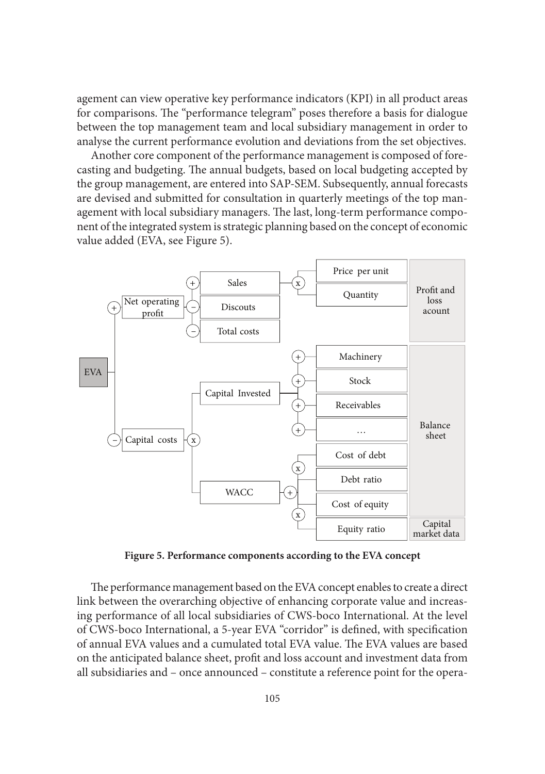agement can view operative key performance indicators (KPI) in all product areas for comparisons. The "performance telegram" poses therefore a basis for dialogue between the top management team and local subsidiary management in order to analyse the current performance evolution and deviations from the set objectives.

Another core component of the performance management is composed of forecasting and budgeting. The annual budgets, based on local budgeting accepted by the group management, are entered into SAP-SEM. Subsequently, annual forecasts are devised and submitted for consultation in quarterly meetings of the top management with local subsidiary managers. The last, long-term performance component of the integrated system is strategic planning based on the concept of economic value added (EVA, see Figure 5).



**Figure 5. Performance components according to the EVA concept**

The performance management based on the EVA concept enables to create a direct link between the overarching objective of enhancing corporate value and increasing performance of all local subsidiaries of CWS-boco International. At the level of CWS-boco International, a 5-year EVA "corridor" is defined, with specification of annual EVA values and a cumulated total EVA value. The EVA values are based on the anticipated balance sheet, profi t and loss account and investment data from all subsidiaries and – once announced – constitute a reference point for the opera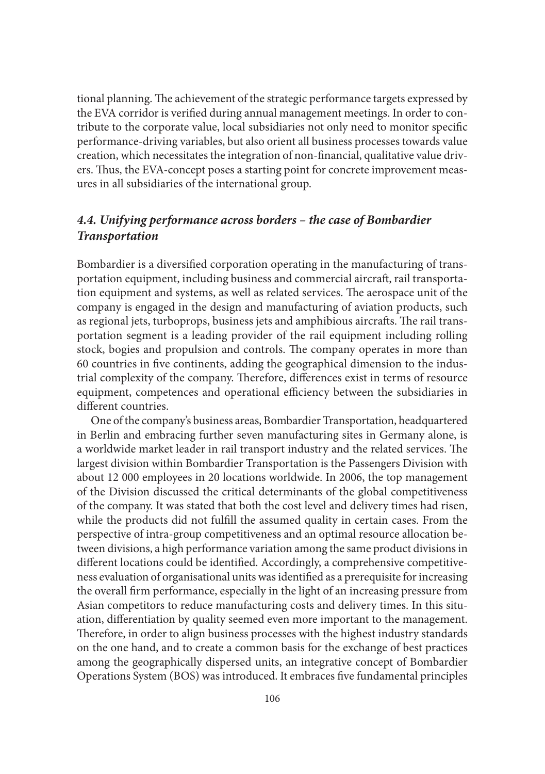tional planning. The achievement of the strategic performance targets expressed by the EVA corridor is verified during annual management meetings. In order to contribute to the corporate value, local subsidiaries not only need to monitor specific performance-driving variables, but also orient all business processes towards value creation, which necessitates the integration of non-financial, qualitative value drivers. Thus, the EVA-concept poses a starting point for concrete improvement measures in all subsidiaries of the international group.

### *4.4. Unifying performance across borders – the case of Bombardier Transportation*

Bombardier is a diversified corporation operating in the manufacturing of transportation equipment, including business and commercial aircraft, rail transportation equipment and systems, as well as related services. The aerospace unit of the company is engaged in the design and manufacturing of aviation products, such as regional jets, turboprops, business jets and amphibious aircrafts. The rail transportation segment is a leading provider of the rail equipment including rolling stock, bogies and propulsion and controls. The company operates in more than 60 countries in five continents, adding the geographical dimension to the industrial complexity of the company. Therefore, differences exist in terms of resource equipment, competences and operational efficiency between the subsidiaries in different countries.

One of the company's business areas, Bombardier Transportation, headquartered in Berlin and embracing further seven manufacturing sites in Germany alone, is a worldwide market leader in rail transport industry and the related services. The largest division within Bombardier Transportation is the Passengers Division with about 12 000 employees in 20 locations worldwide. In 2006, the top management of the Division discussed the critical determinants of the global competitiveness of the company. It was stated that both the cost level and delivery times had risen, while the products did not fulfill the assumed quality in certain cases. From the perspective of intra-group competitiveness and an optimal resource allocation between divisions, a high performance variation among the same product divisions in different locations could be identified. Accordingly, a comprehensive competitiveness evaluation of organisational units was identified as a prerequisite for increasing the overall firm performance, especially in the light of an increasing pressure from Asian competitors to reduce manufacturing costs and delivery times. In this situation, differentiation by quality seemed even more important to the management. Therefore, in order to align business processes with the highest industry standards on the one hand, and to create a common basis for the exchange of best practices among the geographically dispersed units, an integrative concept of Bombardier Operations System (BOS) was introduced. It embraces five fundamental principles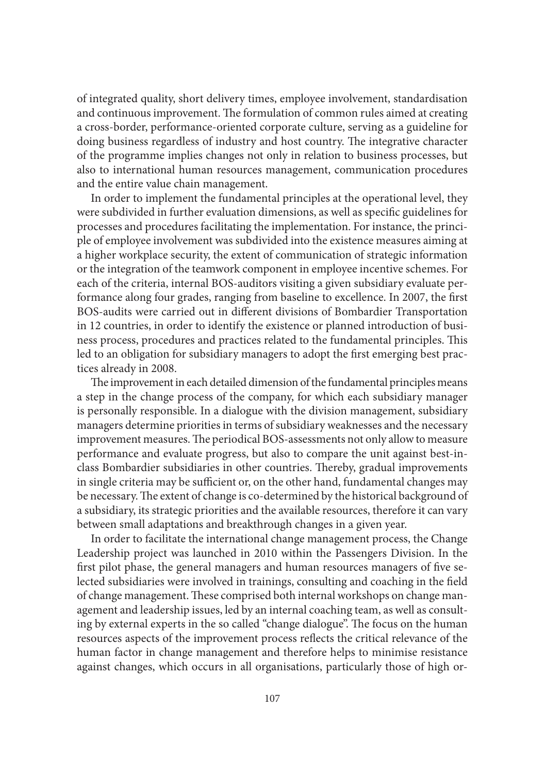of integrated quality, short delivery times, employee involvement, standardisation and continuous improvement. The formulation of common rules aimed at creating a cross-border, performance-oriented corporate culture, serving as a guideline for doing business regardless of industry and host country. The integrative character of the programme implies changes not only in relation to business processes, but also to international human resources management, communication procedures and the entire value chain management.

In order to implement the fundamental principles at the operational level, they were subdivided in further evaluation dimensions, as well as specific guidelines for processes and procedures facilitating the implementation. For instance, the principle of employee involvement was subdivided into the existence measures aiming at a higher workplace security, the extent of communication of strategic information or the integration of the teamwork component in employee incentive schemes. For each of the criteria, internal BOS-auditors visiting a given subsidiary evaluate performance along four grades, ranging from baseline to excellence. In 2007, the first BOS-audits were carried out in different divisions of Bombardier Transportation in 12 countries, in order to identify the existence or planned introduction of business process, procedures and practices related to the fundamental principles. This led to an obligation for subsidiary managers to adopt the first emerging best practices already in 2008.

The improvement in each detailed dimension of the fundamental principles means a step in the change process of the company, for which each subsidiary manager is personally responsible. In a dialogue with the division management, subsidiary managers determine priorities in terms of subsidiary weaknesses and the necessary improvement measures. The periodical BOS-assessments not only allow to measure performance and evaluate progress, but also to compare the unit against best-inclass Bombardier subsidiaries in other countries. Thereby, gradual improvements in single criteria may be sufficient or, on the other hand, fundamental changes may be necessary. The extent of change is co-determined by the historical background of a subsidiary, its strategic priorities and the available resources, therefore it can vary between small adaptations and breakthrough changes in a given year.

In order to facilitate the international change management process, the Change Leadership project was launched in 2010 within the Passengers Division. In the first pilot phase, the general managers and human resources managers of five selected subsidiaries were involved in trainings, consulting and coaching in the field of change management. These comprised both internal workshops on change management and leadership issues, led by an internal coaching team, as well as consulting by external experts in the so called "change dialogue". The focus on the human resources aspects of the improvement process reflects the critical relevance of the human factor in change management and therefore helps to minimise resistance against changes, which occurs in all organisations, particularly those of high or-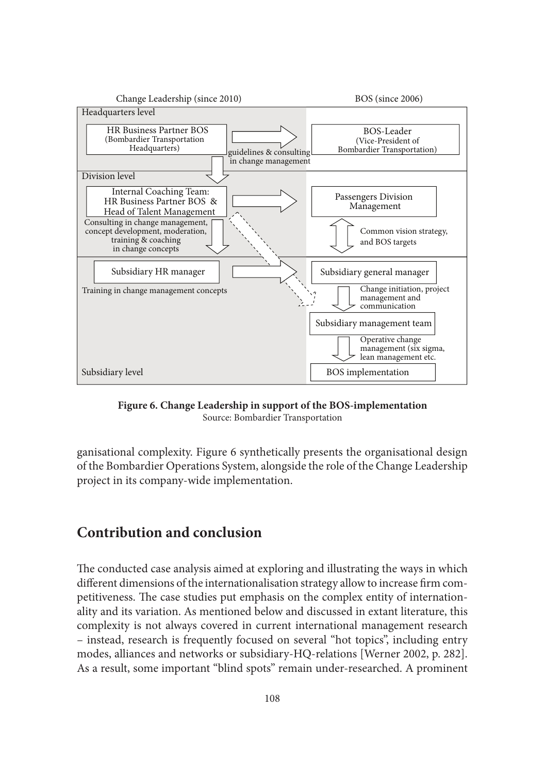

**Figure 6. Change Leadership in support of the BOS-implementation** Source: Bombardier Transportation

ganisational complexity. Figure 6 synthetically presents the organisational design of the Bombardier Operations System, alongside the role of the Change Leadership project in its company-wide implementation.

## **Contribution and conclusion**

The conducted case analysis aimed at exploring and illustrating the ways in which different dimensions of the internationalisation strategy allow to increase firm competitiveness. The case studies put emphasis on the complex entity of internationality and its variation. As mentioned below and discussed in extant literature, this complexity is not always covered in current international management research – instead, research is frequently focused on several "hot topics", including entry modes, alliances and networks or subsidiary-HQ-relations [Werner 2002, p. 282]. As a result, some important "blind spots" remain under-researched. A prominent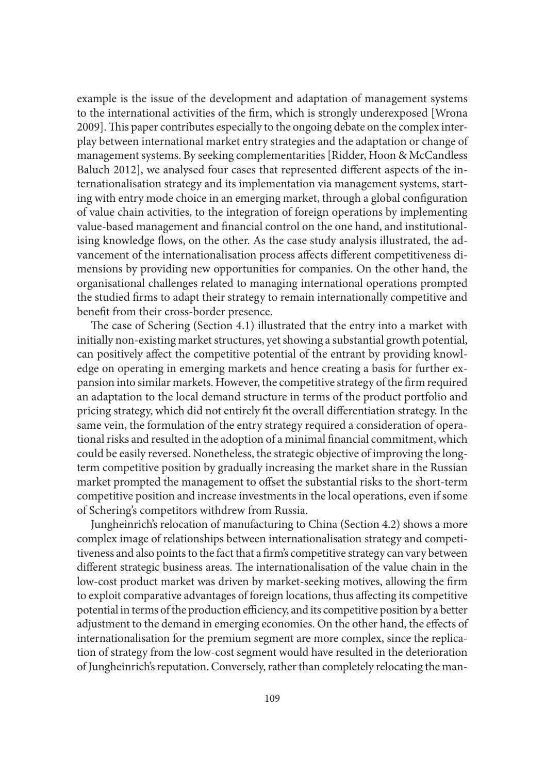example is the issue of the development and adaptation of management systems to the international activities of the firm, which is strongly underexposed [Wrona 2009]. This paper contributes especially to the ongoing debate on the complex interplay between international market entry strategies and the adaptation or change of management systems. By seeking complementarities [Ridder, Hoon & McCandless Baluch 2012], we analysed four cases that represented different aspects of the internationalisation strategy and its implementation via management systems, starting with entry mode choice in an emerging market, through a global configuration of value chain activities, to the integration of foreign operations by implementing value-based management and financial control on the one hand, and institutionalising knowledge flows, on the other. As the case study analysis illustrated, the advancement of the internationalisation process affects different competitiveness dimensions by providing new opportunities for companies. On the other hand, the organisational challenges related to managing international operations prompted the studied firms to adapt their strategy to remain internationally competitive and benefit from their cross-border presence.

The case of Schering (Section 4.1) illustrated that the entry into a market with initially non-existing market structures, yet showing a substantial growth potential, can positively affect the competitive potential of the entrant by providing knowledge on operating in emerging markets and hence creating a basis for further expansion into similar markets. However, the competitive strategy of the firm required an adaptation to the local demand structure in terms of the product portfolio and pricing strategy, which did not entirely fit the overall differentiation strategy. In the same vein, the formulation of the entry strategy required a consideration of operational risks and resulted in the adoption of a minimal financial commitment, which could be easily reversed. Nonetheless, the strategic objective of improving the longterm competitive position by gradually increasing the market share in the Russian market prompted the management to offset the substantial risks to the short-term competitive position and increase investments in the local operations, even if some of Schering's competitors withdrew from Russia.

Jungheinrich's relocation of manufacturing to China (Section 4.2) shows a more complex image of relationships between internationalisation strategy and competitiveness and also points to the fact that a firm's competitive strategy can vary between different strategic business areas. The internationalisation of the value chain in the low-cost product market was driven by market-seeking motives, allowing the firm to exploit comparative advantages of foreign locations, thus affecting its competitive potential in terms of the production efficiency, and its competitive position by a better adjustment to the demand in emerging economies. On the other hand, the effects of internationalisation for the premium segment are more complex, since the replication of strategy from the low-cost segment would have resulted in the deterioration of Jungheinrich's reputation. Conversely, rather than completely relocating the man-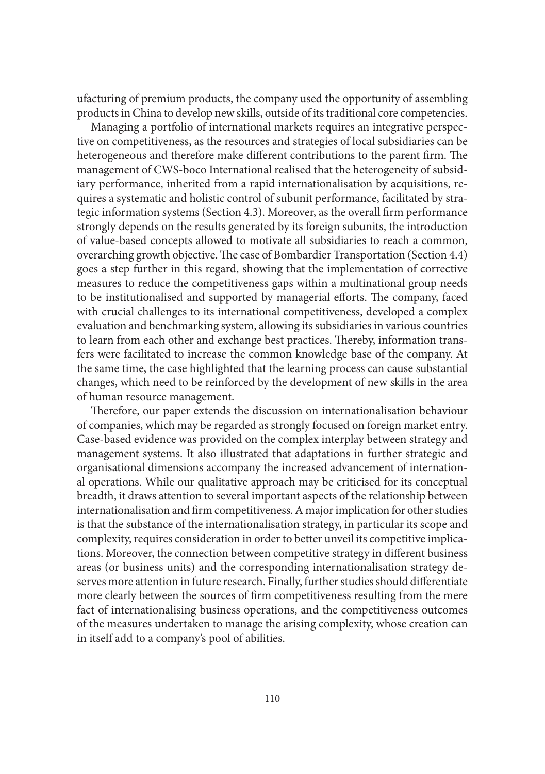ufacturing of premium products, the company used the opportunity of assembling products in China to develop new skills, outside of its traditional core competencies.

Managing a portfolio of international markets requires an integrative perspective on competitiveness, as the resources and strategies of local subsidiaries can be heterogeneous and therefore make different contributions to the parent firm. The management of CWS-boco International realised that the heterogeneity of subsidiary performance, inherited from a rapid internationalisation by acquisitions, requires a systematic and holistic control of subunit performance, facilitated by strategic information systems (Section 4.3). Moreover, as the overall firm performance strongly depends on the results generated by its foreign subunits, the introduction of value-based concepts allowed to motivate all subsidiaries to reach a common, overarching growth objective. The case of Bombardier Transportation (Section 4.4) goes a step further in this regard, showing that the implementation of corrective measures to reduce the competitiveness gaps within a multinational group needs to be institutionalised and supported by managerial efforts. The company, faced with crucial challenges to its international competitiveness, developed a complex evaluation and benchmarking system, allowing its subsidiaries in various countries to learn from each other and exchange best practices. Thereby, information transfers were facilitated to increase the common knowledge base of the company. At the same time, the case highlighted that the learning process can cause substantial changes, which need to be reinforced by the development of new skills in the area of human resource management.

Therefore, our paper extends the discussion on internationalisation behaviour of companies, which may be regarded as strongly focused on foreign market entry. Case-based evidence was provided on the complex interplay between strategy and management systems. It also illustrated that adaptations in further strategic and organisational dimensions accompany the increased advancement of international operations. While our qualitative approach may be criticised for its conceptual breadth, it draws attention to several important aspects of the relationship between internationalisation and firm competitiveness. A major implication for other studies is that the substance of the internationalisation strategy, in particular its scope and complexity, requires consideration in order to better unveil its competitive implications. Moreover, the connection between competitive strategy in different business areas (or business units) and the corresponding internationalisation strategy deserves more attention in future research. Finally, further studies should differentiate more clearly between the sources of firm competitiveness resulting from the mere fact of internationalising business operations, and the competitiveness outcomes of the measures undertaken to manage the arising complexity, whose creation can in itself add to a company's pool of abilities.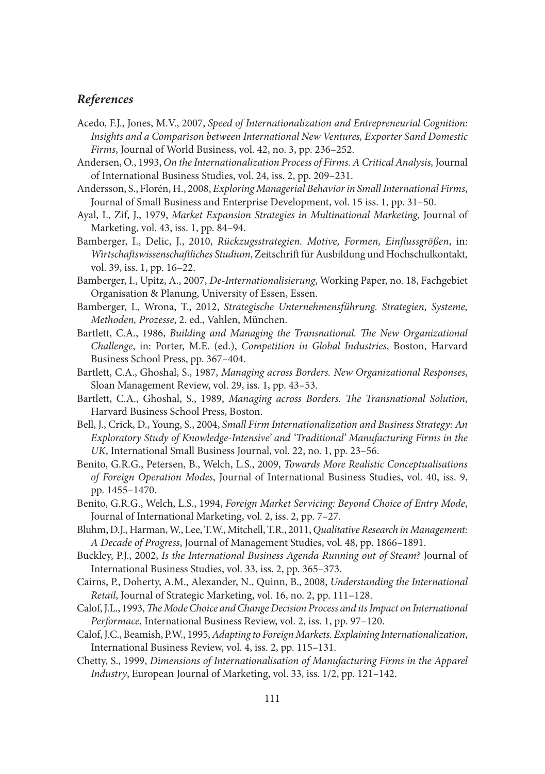#### *References*

- Acedo, F.J., Jones, M.V., 2007, *Speed of Internationalization and Entrepreneurial Cognition: Insights and a Comparison between International New Ventures, Exporter Sand Domestic Firms*, Journal of World Business, vol. 42, no. 3, pp. 236–252.
- Andersen, O., 1993, *On the Internationalization Process of Firms. A Critical Analysis,* Journal of International Business Studies, vol. 24, iss. 2, pp. 209–231.
- Andersson, S., Florén, H., 2008, *Exploring Managerial Behavior in Small International Firms*, Journal of Small Business and Enterprise Development, vol. 15 iss. 1, pp. 31–50.
- Ayal, I., Zif, J., 1979, *Market Expansion Strategies in Multinational Marketing*, Journal of Marketing, vol. 43, iss. 1, pp. 84–94.
- Bamberger, I., Delic, J., 2010, *Rückzugsstrategien. Motive, Formen, Einflussgrößen*, in: *Wirtschaft swissenschaft liches Studium*, Zeitschrift für Ausbildung und Hochschulkontakt, vol. 39, iss. 1, pp. 16–22.
- Bamberger, I., Upitz, A., 2007, *De-Internationalisierung*, Working Paper, no. 18, Fachgebiet Organisation & Planung, University of Essen, Essen.
- Bamberger, I., Wrona, T., 2012, *Strategische Unternehmensführung. Strategien, Systeme, Methoden, Prozesse*, 2. ed., Vahlen, München.
- Bartlett, C.A., 1986, *Building and Managing the Transnational*. The New Organizational *Challenge*, in: Porter, M.E. (ed.), *Competition in Global Industries*, Boston, Harvard Business School Press, pp. 367–404.
- Bartlett, C.A., Ghoshal, S., 1987, *Managing across Borders. New Organizational Responses*, Sloan Management Review, vol. 29, iss. 1, pp. 43–53.
- Bartlett, C.A., Ghoshal, S., 1989, *Managing across Borders. The Transnational Solution*, Harvard Business School Press, Boston.
- Bell, J., Crick, D., Young, S., 2004, *Small Firm Internationalization and Business Strategy: An Exploratory Study of Knowledge-Intensive' and 'Traditional' Manufacturing Firms in the UK*, International Small Business Journal, vol. 22, no. 1, pp. 23–56.
- Benito, G.R.G., Petersen, B., Welch, L.S., 2009, *Towards More Realistic Conceptualisations of Foreign Operation Modes*, Journal of International Business Studies, vol. 40, iss. 9, pp. 1455–1470.
- Benito, G.R.G., Welch, L.S., 1994, *Foreign Market Servicing: Beyond Choice of Entry Mode*, Journal of International Marketing, vol. 2, iss. 2, pp. 7–27.
- Bluhm, D.J., Harman, W., Lee, T.W., Mitchell, T.R., 2011, *Qualitative Research in Management: A Decade of Progress*, Journal of Management Studies, vol. 48, pp. 1866–1891.
- Buckley, P.J., 2002, *Is the International Business Agenda Running out of Steam?* Journal of International Business Studies, vol. 33, iss. 2, pp. 365–373.
- Cairns, P., Doherty, A.M., Alexander, N., Quinn, B., 2008, *Understanding the International Retail*, Journal of Strategic Marketing, vol. 16, no. 2, pp. 111–128.
- Calof, J.L., 1993, *The Mode Choice and Change Decision Process and its Impact on International Performace*, International Business Review, vol. 2, iss. 1, pp. 97–120.
- Calof, J.C., Beamish, P.W., 1995, *Adapting to Foreign Markets. Explaining Internationalization*, International Business Review, vol. 4, iss. 2, pp. 115–131.
- Chetty, S., 1999, *Dimensions of Internationalisation of Manufacturing Firms in the Apparel Industry*, European Journal of Marketing, vol. 33, iss. 1/2, pp. 121–142.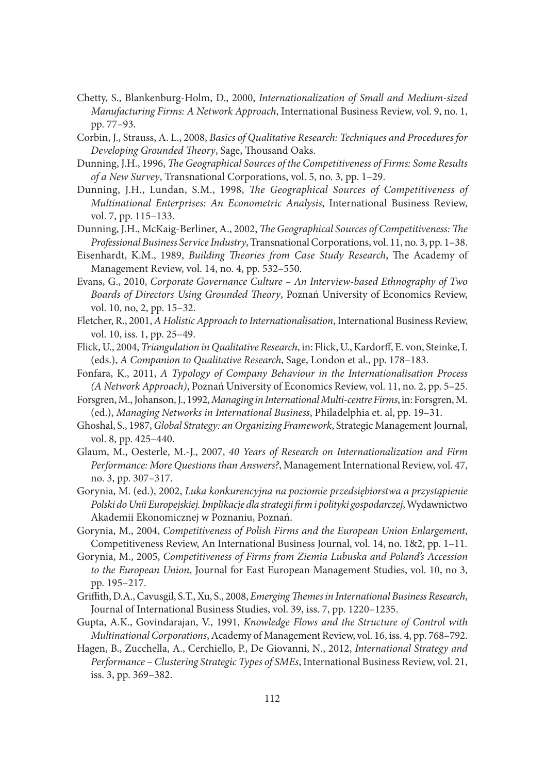- Chetty, S., Blankenburg-Holm, D., 2000, *Internationalization of Small and Medium-sized Manufacturing Firms: A Network Approach*, International Business Review, vol. 9, no. 1, pp. 77–93.
- Corbin, J., Strauss, A. L., 2008, *Basics of Qualitative Research: Techniques and Procedures for*  Developing Grounded Theory, Sage, Thousand Oaks.
- Dunning, J.H., 1996, *The Geographical Sources of the Competitiveness of Firms: Some Results of a New Survey*, Transnational Corporations, vol. 5, no. 3, pp. 1–29.
- Dunning, J.H., Lundan, S.M., 1998, *The Geographical Sources of Competitiveness of Multinational Enterprises: An Econometric Analysis*, International Business Review, vol. 7, pp. 115–133.
- Dunning, J.H., McKaig-Berliner, A., 2002, *The Geographical Sources of Competitiveness: The Professional Business Service Industry*, Transnational Corporations, vol. 11, no. 3, pp. 1–38.
- Eisenhardt, K.M., 1989, *Building Theories from Case Study Research*, The Academy of Management Review, vol. 14, no. 4, pp. 532–550.
- Evans, G., 2010, *Corporate Governance Culture An Interview-based Ethnography of Two Boards of Directors Using Grounded Th eory*, Poznań University of Economics Review, vol. 10, no, 2, pp. 15–32.
- Fletcher, R., 2001, *A Holistic Approach to Internationalisation*, International Business Review, vol. 10, iss. 1, pp. 25–49.
- Flick, U., 2004, *Triangulation in Qualitative Research*, in: Flick, U., Kardorff , E. von, Steinke, I. (eds.), *A Companion to Qualitative Research*, Sage, London et al., pp. 178–183.
- Fonfara, K., 2011, *A Typology of Company Behaviour in the Internationalisation Process (A Network Approach)*, Poznań University of Economics Review, vol. 11, no. 2, pp. 5–25.
- Forsgren, M., Johanson, J., 1992, *Managing in International Multi-centre Firms*, in: Forsgren, M. (ed.), *Managing Networks in International Business*, Philadelphia et. al, pp. 19–31.
- Ghoshal, S., 1987, *Global Strategy: an Organizing Framework*, Strategic Management Journal, vol. 8, pp. 425–440.
- Glaum, M., Oesterle, M.-J., 2007, *40 Years of Research on Internationalization and Firm Performance: More Questions than Answers?*, Management International Review, vol. 47, no. 3, pp. 307–317.
- Gorynia, M. (ed.), 2002, *Luka konkurencyjna na poziomie przedsiębiorstwa a przystąpienie Polski do Unii Europejskiej. Implikacje dla strategii fi rm i polityki gospodarczej*, Wydawnictwo Akademii Ekonomicznej w Poznaniu, Poznań.
- Gorynia, M., 2004, *Competitiveness of Polish Firms and the European Union Enlargement*, Competitiveness Review, An International Business Journal, vol. 14, no. 1&2, pp. 1–11.
- Gorynia, M., 2005, *Competitiveness of Firms from Ziemia Lubuska and Poland's Accession to the European Union*, Journal for East European Management Studies, vol. 10, no 3, pp. 195–217.
- Griffith, D.A., Cavusgil, S.T., Xu, S., 2008, *Emerging Themes in International Business Research*, Journal of International Business Studies, vol. 39, iss. 7, pp. 1220–1235.
- Gupta, A.K., Govindarajan, V., 1991, *Knowledge Flows and the Structure of Control with Multinational Corporations*, Academy of Management Review, vol. 16, iss. 4, pp. 768–792.
- Hagen, B., Zucchella, A., Cerchiello, P., De Giovanni, N., 2012, *International Strategy and Performance – Clustering Strategic Types of SMEs*, International Business Review, vol. 21, iss. 3, pp. 369–382.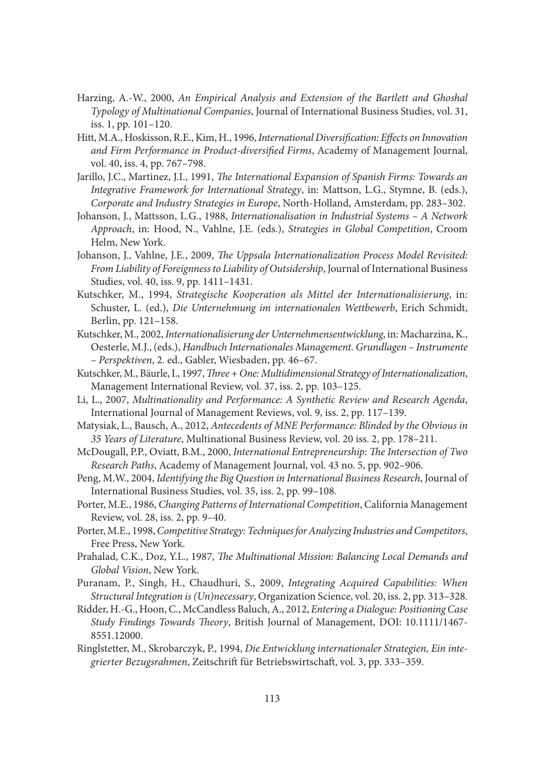- Harzing, A.-W., 2000, *An Empirical Analysis and Extension of the Bartlett and Ghoshal Typology of Multinational Companies*, Journal of International Business Studies, vol. 31, iss. 1, pp. 101–120.
- Hitt, M.A., Hoskisson, R.E., Kim, H., 1996, *International Diversification: Effects on Innovation* and Firm Performance in Product-diversified Firms, Academy of Management Journal, vol. 40, iss. 4, pp. 767–798.
- Jarillo, J.C., Martinez, J.I., 1991, *The International Expansion of Spanish Firms: Towards an Integrative Framework for International Strategy*, in: Mattson, L.G., Stymne, B. (eds.), *Corporate and Industry Strategies in Europe*, North-Holland, Amsterdam, pp. 283–302.
- Johanson, J., Mattsson, L.G., 1988, *Internationalisation in Industrial Systems A Network Approach*, in: Hood, N., Vahlne, J.E. (eds.), *Strategies in Global Competition*, Croom Helm, New York.
- Johanson, J., Vahlne, J.E., 2009, *The Uppsala Internationalization Process Model Revisited: From Liability of Foreignness to Liability of Outsidership*, Journal of International Business Studies, vol. 40, iss. 9, pp. 1411–1431.
- Kutschker, M., 1994, *Strategische Kooperation als Mittel der Internationalisierung*, in: Schuster, L. (ed.), *Die Unternehmung im internationalen Wettbewerb*, Erich Schmidt, Berlin, pp. 121–158.
- Kutschker, M., 2002, *Internationalisierung der Unternehmensentwicklung*, in: Macharzina, K., Oesterle, M.J., (eds.), *Handbuch Internationales Management. Grundlagen – Instrumente – Perspektiven*, 2. ed., Gabler, Wiesbaden, pp. 46–67.
- Kutschker, M., Bäurle, I., 1997, *Th ree + One: Multidimensional Strategy of Internationalization*, Management International Review, vol. 37, iss. 2, pp. 103–125.
- Li, L., 2007, *Multinationality and Performance: A Synthetic Review and Research Agenda*, International Journal of Management Reviews, vol. 9, iss. 2, pp. 117–139.
- Matysiak, L., Bausch, A., 2012, *Antecedents of MNE Performance: Blinded by the Obvious in 35 Years of Literature*, Multinational Business Review, vol. 20 iss. 2, pp. 178–211.
- McDougall, P.P., Oviatt, B.M., 2000, *International Entrepreneurship: Th e Intersection of Two Research Paths*, Academy of Management Journal, vol. 43 no. 5, pp. 902–906.
- Peng, M.W., 2004, *Identifying the Big Question in International Business Research*, Journal of International Business Studies, vol. 35, iss. 2, pp. 99–108.
- Porter, M.E., 1986, *Changing Patterns of International Competition*, California Management Review, vol. 28, iss. 2, pp. 9–40.
- Porter, M.E., 1998, *Competitive Strategy: Techniques for Analyzing Industries and Competitors*, Free Press, New York.
- Prahalad, C.K., Doz, Y.L., 1987, *The Multinational Mission: Balancing Local Demands and Global Vision*, New York.
- Puranam, P., Singh, H., Chaudhuri, S., 2009, *Integrating Acquired Capabilities: When Structural Integration is (Un)necessary*, Organization Science, vol. 20, iss. 2, pp. 313–328.
- Ridder, H.-G., Hoon, C., McCandless Baluch, A., 2012, *Entering a Dialogue: Positioning Case Study Findings Towards Th eory*, British Journal of Management, DOI: 10.1111/1467- 8551.12000.
- Ringlstetter, M., Skrobarczyk, P., 1994, *Die Entwicklung internationaler Strategien, Ein integrierter Bezugsrahmen*, Zeitschrift für Betriebswirtschaft , vol. 3, pp. 333–359.